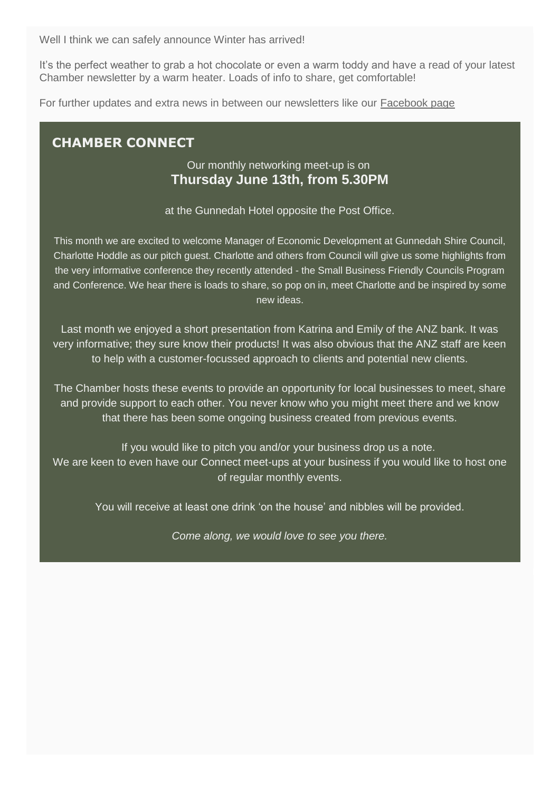Well I think we can safely announce Winter has arrived!

It's the perfect weather to grab a hot chocolate or even a warm toddy and have a read of your latest Chamber newsletter by a warm heater. Loads of info to share, get comfortable!

For further updates and extra news in between our newsletters like our [Facebook page](https://www.facebook.com/GunnedahChamber/)

## **CHAMBER CONNECT**

### Our monthly networking meet-up is on **Thursday June 13th, from 5.30PM**

at the Gunnedah Hotel opposite the Post Office.

This month we are excited to welcome Manager of Economic Development at Gunnedah Shire Council, Charlotte Hoddle as our pitch guest. Charlotte and others from Council will give us some highlights from the very informative conference they recently attended - the Small Business Friendly Councils Program and Conference. We hear there is loads to share, so pop on in, meet Charlotte and be inspired by some new ideas.

Last month we enjoyed a short presentation from Katrina and Emily of the ANZ bank. It was very informative; they sure know their products! It was also obvious that the ANZ staff are keen to help with a customer-focussed approach to clients and potential new clients.

The Chamber hosts these events to provide an opportunity for local businesses to meet, share and provide support to each other. You never know who you might meet there and we know that there has been some ongoing business created from previous events.

If you would like to pitch you and/or your business drop us a note. We are keen to even have our Connect meet-ups at your business if you would like to host one of regular monthly events.

You will receive at least one drink 'on the house' and nibbles will be provided.

*Come along, we would love to see you there.*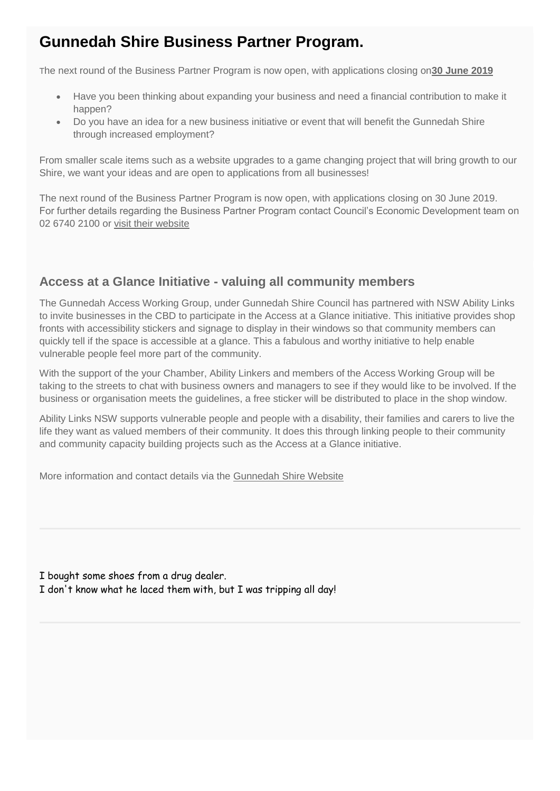# **Gunnedah Shire Business Partner Program.**

The next round of the Business Partner Program is now open, with applications closing on**30 June 2019**

- Have you been thinking about expanding your business and need a financial contribution to make it happen?
- Do you have an idea for a new business initiative or event that will benefit the Gunnedah Shire through increased employment?

From smaller scale items such as a website upgrades to a game changing project that will bring growth to our Shire, we want your ideas and are open to applications from all businesses!

The next round of the Business Partner Program is now open, with applications closing on 30 June 2019. For further details regarding the Business Partner Program contact Council's Economic Development team on 02 6740 2100 or [visit their website](http://www.gunnedah.nsw.gov.au/)

## **Access at a Glance Initiative - valuing all community members**

The Gunnedah Access Working Group, under Gunnedah Shire Council has partnered with NSW Ability Links to invite businesses in the CBD to participate in the Access at a Glance initiative. This initiative provides shop fronts with accessibility stickers and signage to display in their windows so that community members can quickly tell if the space is accessible at a glance. This a fabulous and worthy initiative to help enable vulnerable people feel more part of the community.

With the support of the your Chamber, Ability Linkers and members of the Access Working Group will be taking to the streets to chat with business owners and managers to see if they would like to be involved. If the business or organisation meets the guidelines, a free sticker will be distributed to place in the shop window.

Ability Links NSW supports vulnerable people and people with a disability, their families and carers to live the life they want as valued members of their community. It does this through linking people to their community and community capacity building projects such as the Access at a Glance initiative.

More information and contact details via the [Gunnedah Shire Website](http://www.gunnedah.nsw.gov.au/index.php/council/keep-in-touch/latest-news-media/item/1658-access-friendly-businesses-to-be-identified-at-a-glance)

I bought some shoes from a drug dealer. I don't know what he laced them with, but I was tripping all day!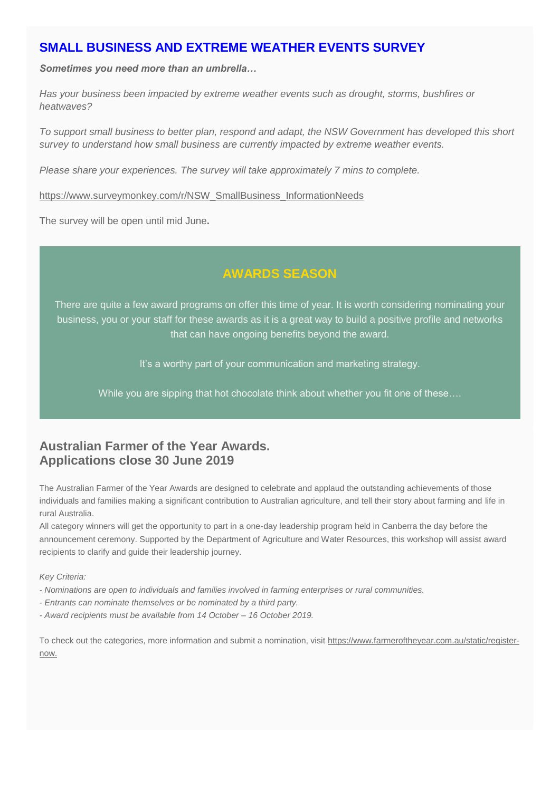## **SMALL BUSINESS AND EXTREME WEATHER EVENTS SURVEY**

*Sometimes you need more than an umbrella…*

*Has your business been impacted by extreme weather events such as drought, storms, bushfires or heatwaves?*

*To support small business to better plan, respond and adapt, the NSW Government has developed this short survey to understand how small business are currently impacted by extreme weather events.*

*Please share your experiences. The survey will take approximately 7 mins to complete.*

[https://www.surveymonkey.com/r/NSW\\_SmallBusiness\\_InformationNeeds](https://www.surveymonkey.com/r/NSW_SmallBusiness_InformationNeeds)

The survey will be open until mid June**.**

## **AWARDS SEASON**

There are quite a few award programs on offer this time of year. It is worth considering nominating your business, you or your staff for these awards as it is a great way to build a positive profile and networks that can have ongoing benefits beyond the award.

It's a worthy part of your communication and marketing strategy.

While you are sipping that hot chocolate think about whether you fit one of these...

## **Australian Farmer of the Year Awards. Applications close 30 June 2019**

The Australian Farmer of the Year Awards are designed to celebrate and applaud the outstanding achievements of those individuals and families making a significant contribution to Australian agriculture, and tell their story about farming and life in rural Australia.

All category winners will get the opportunity to part in a one-day leadership program held in Canberra the day before the announcement ceremony. Supported by the Department of Agriculture and Water Resources, this workshop will assist award recipients to clarify and guide their leadership journey.

*Key Criteria:*

- *- Nominations are open to individuals and families involved in farming enterprises or rural communities.*
- *- Entrants can nominate themselves or be nominated by a third party.*
- *- Award recipients must be available from 14 October – 16 October 2019.*

To check out the categories, more information and submit a nomination, visit [https://www.farmeroftheyear.com.au/static/register](https://www.farmeroftheyear.com.au/static/register-now)[now.](https://www.farmeroftheyear.com.au/static/register-now)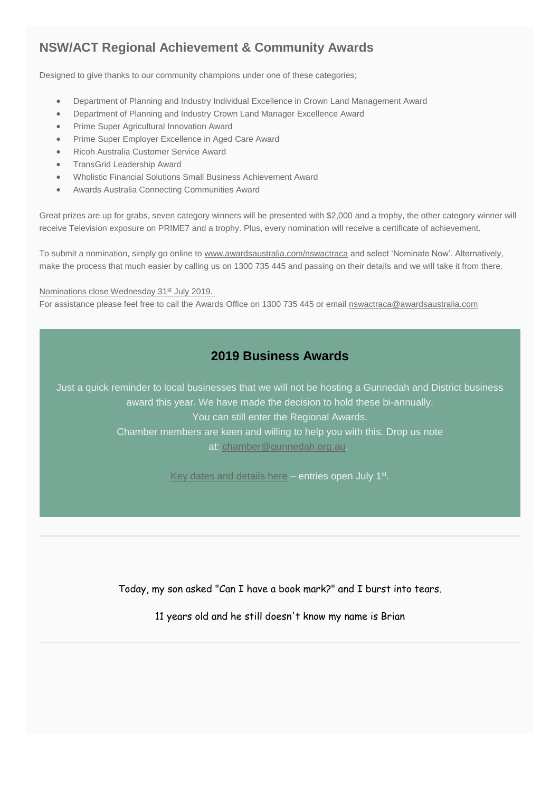## **NSW/ACT Regional Achievement & Community Awards**

Designed to give thanks to our community champions under one of these categories;

- Department of Planning and Industry Individual Excellence in Crown Land Management Award
- Department of Planning and Industry Crown Land Manager Excellence Award
- Prime Super Agricultural Innovation Award
- Prime Super Employer Excellence in Aged Care Award
- Ricoh Australia Customer Service Award
- TransGrid Leadership Award
- Wholistic Financial Solutions Small Business Achievement Award
- Awards Australia Connecting Communities Award

Great prizes are up for grabs, seven category winners will be presented with \$2,000 and a trophy, the other category winner will receive Television exposure on PRIME7 and a trophy. Plus, every nomination will receive a certificate of achievement.

To submit a nomination, simply go online to [www.awardsaustralia.com/nswactraca](http://www.awardsaustralia.com/nswactraca) and select 'Nominate Now'. Alternatively, make the process that much easier by calling us on 1300 735 445 and passing on their details and we will take it from there.

#### Nominations close Wednesday 31<sup>st</sup> July 2019.

For assistance please feel free to call the Awards Office on 1300 735 445 or email [nswactraca@awardsaustralia.com](mailto:nswactraca@awardsaustralia.com)

### **2019 Business Awards**

Just a quick reminder to local businesses that we will not be hosting a Gunnedah and District business award this year. We have made the decision to hold these bi-annually. You can still enter the Regional Awards. Chamber members are keen and willing to help you with this. Drop us note at: [chamber@gunnedah.org.au.](mailto:chamber@gunnedah.org.au)

[Key dates and details here](http://www.businessannualawards.com.au/Regions/New-England-North-West) - entries open July 1<sup>st</sup>.

Today, my son asked "Can I have a book mark?" and I burst into tears.

11 years old and he still doesn't know my name is Brian